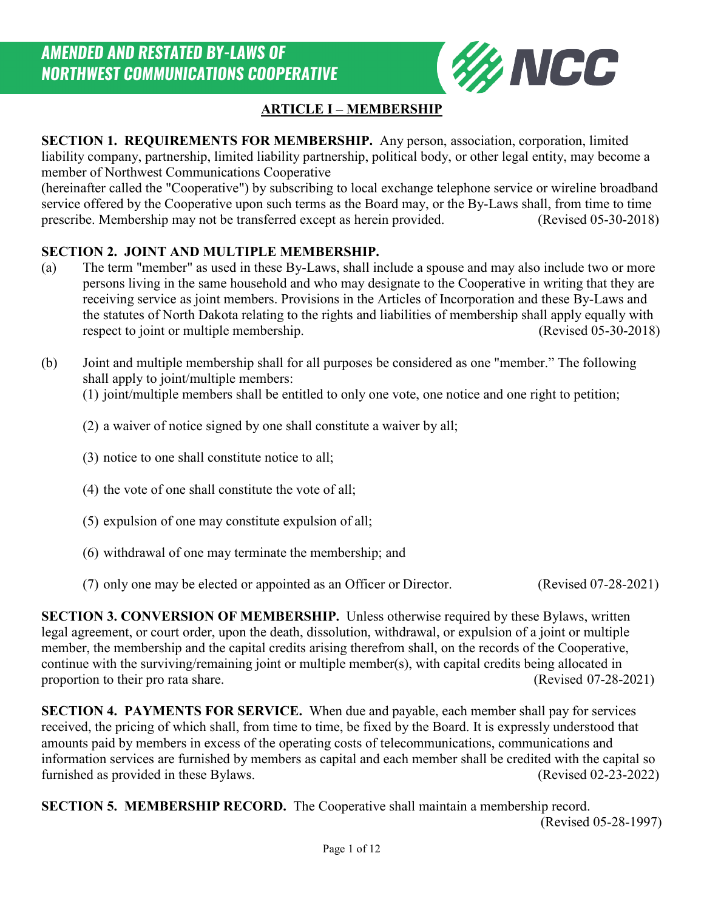

## **ARTICLE I – MEMBERSHIP**

**SECTION 1. REQUIREMENTS FOR MEMBERSHIP.** Any person, association, corporation, limited liability company, partnership, limited liability partnership, political body, or other legal entity, may become a member of Northwest Communications Cooperative

(hereinafter called the "Cooperative") by subscribing to local exchange telephone service or wireline broadband service offered by the Cooperative upon such terms as the Board may, or the By-Laws shall, from time to time prescribe. Membership may not be transferred except as herein provided. (Revised 05-30-2018)

#### **SECTION 2. JOINT AND MULTIPLE MEMBERSHIP.**

- (a) The term "member" as used in these By-Laws, shall include a spouse and may also include two or more persons living in the same household and who may designate to the Cooperative in writing that they are receiving service as joint members. Provisions in the Articles of Incorporation and these By-Laws and the statutes of North Dakota relating to the rights and liabilities of membership shall apply equally with respect to joint or multiple membership. (Revised 05-30-2018)
- (b) Joint and multiple membership shall for all purposes be considered as one "member." The following shall apply to joint/multiple members:

(1) joint/multiple members shall be entitled to only one vote, one notice and one right to petition;

#### (2) a waiver of notice signed by one shall constitute a waiver by all;

- (3) notice to one shall constitute notice to all;
- (4) the vote of one shall constitute the vote of all;
- (5) expulsion of one may constitute expulsion of all;
- (6) withdrawal of one may terminate the membership; and
- (7) only one may be elected or appointed as an Officer or Director. (Revised 07-28-2021)

**SECTION 3. CONVERSION OF MEMBERSHIP.** Unless otherwise required by these Bylaws, written legal agreement, or court order, upon the death, dissolution, withdrawal, or expulsion of a joint or multiple member, the membership and the capital credits arising therefrom shall, on the records of the Cooperative, continue with the surviving/remaining joint or multiple member(s), with capital credits being allocated in proportion to their pro rata share. (Revised 07-28-2021)

**SECTION 4. PAYMENTS FOR SERVICE.** When due and payable, each member shall pay for services received, the pricing of which shall, from time to time, be fixed by the Board. It is expressly understood that amounts paid by members in excess of the operating costs of telecommunications, communications and information services are furnished by members as capital and each member shall be credited with the capital so furnished as provided in these Bylaws. (Revised 02-23-2022)

**SECTION 5. MEMBERSHIP RECORD.** The Cooperative shall maintain a membership record. (Revised 05-28-1997)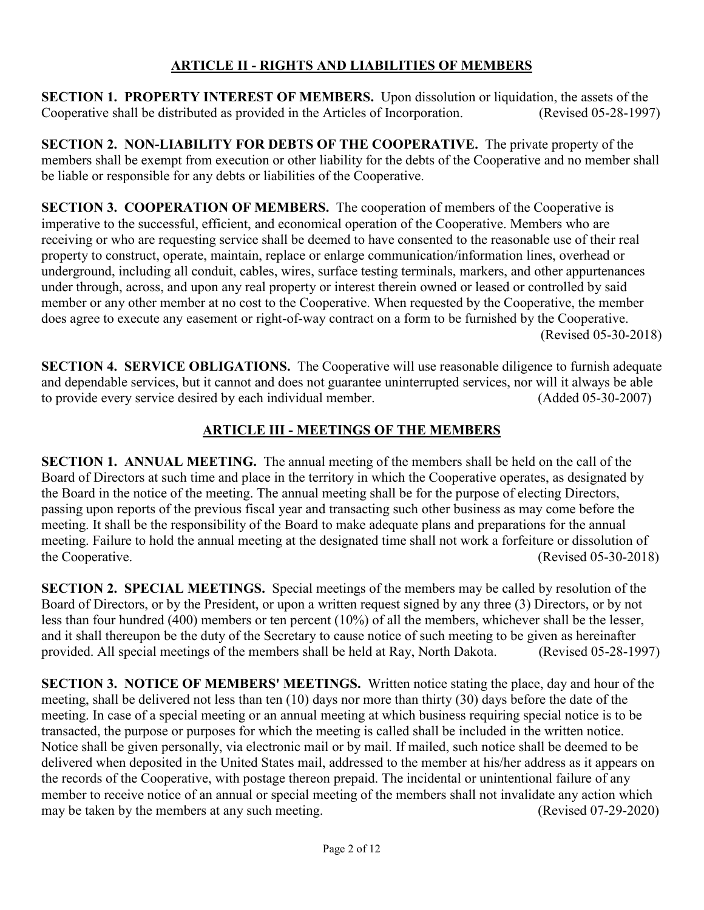## **ARTICLE II - RIGHTS AND LIABILITIES OF MEMBERS**

**SECTION 1. PROPERTY INTEREST OF MEMBERS.** Upon dissolution or liquidation, the assets of the Cooperative shall be distributed as provided in the Articles of Incorporation. (Revised 05-28-1997)

**SECTION 2. NON-LIABILITY FOR DEBTS OF THE COOPERATIVE.** The private property of the members shall be exempt from execution or other liability for the debts of the Cooperative and no member shall be liable or responsible for any debts or liabilities of the Cooperative.

**SECTION 3. COOPERATION OF MEMBERS.** The cooperation of members of the Cooperative is imperative to the successful, efficient, and economical operation of the Cooperative. Members who are receiving or who are requesting service shall be deemed to have consented to the reasonable use of their real property to construct, operate, maintain, replace or enlarge communication/information lines, overhead or underground, including all conduit, cables, wires, surface testing terminals, markers, and other appurtenances under through, across, and upon any real property or interest therein owned or leased or controlled by said member or any other member at no cost to the Cooperative. When requested by the Cooperative, the member does agree to execute any easement or right-of-way contract on a form to be furnished by the Cooperative. (Revised 05-30-2018)

**SECTION 4. SERVICE OBLIGATIONS.** The Cooperative will use reasonable diligence to furnish adequate and dependable services, but it cannot and does not guarantee uninterrupted services, nor will it always be able to provide every service desired by each individual member. (Added 05-30-2007)

# **ARTICLE III - MEETINGS OF THE MEMBERS**

**SECTION 1. ANNUAL MEETING.** The annual meeting of the members shall be held on the call of the Board of Directors at such time and place in the territory in which the Cooperative operates, as designated by the Board in the notice of the meeting. The annual meeting shall be for the purpose of electing Directors, passing upon reports of the previous fiscal year and transacting such other business as may come before the meeting. It shall be the responsibility of the Board to make adequate plans and preparations for the annual meeting. Failure to hold the annual meeting at the designated time shall not work a forfeiture or dissolution of the Cooperative. (Revised 05-30-2018)

**SECTION 2. SPECIAL MEETINGS.** Special meetings of the members may be called by resolution of the Board of Directors, or by the President, or upon a written request signed by any three (3) Directors, or by not less than four hundred (400) members or ten percent (10%) of all the members, whichever shall be the lesser, and it shall thereupon be the duty of the Secretary to cause notice of such meeting to be given as hereinafter provided. All special meetings of the members shall be held at Ray, North Dakota. (Revised 05-28-1997)

**SECTION 3. NOTICE OF MEMBERS' MEETINGS.** Written notice stating the place, day and hour of the meeting, shall be delivered not less than ten (10) days nor more than thirty (30) days before the date of the meeting. In case of a special meeting or an annual meeting at which business requiring special notice is to be transacted, the purpose or purposes for which the meeting is called shall be included in the written notice. Notice shall be given personally, via electronic mail or by mail. If mailed, such notice shall be deemed to be delivered when deposited in the United States mail, addressed to the member at his/her address as it appears on the records of the Cooperative, with postage thereon prepaid. The incidental or unintentional failure of any member to receive notice of an annual or special meeting of the members shall not invalidate any action which may be taken by the members at any such meeting. (Revised 07-29-2020)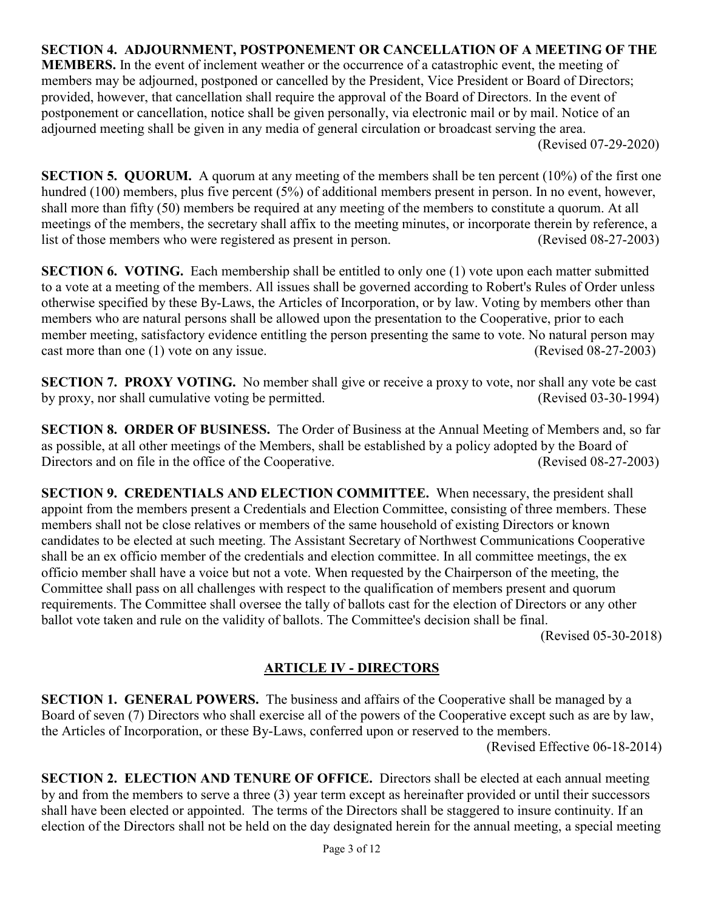#### **SECTION 4. ADJOURNMENT, POSTPONEMENT OR CANCELLATION OF A MEETING OF THE**

**MEMBERS.** In the event of inclement weather or the occurrence of a catastrophic event, the meeting of members may be adjourned, postponed or cancelled by the President, Vice President or Board of Directors; provided, however, that cancellation shall require the approval of the Board of Directors. In the event of postponement or cancellation, notice shall be given personally, via electronic mail or by mail. Notice of an adjourned meeting shall be given in any media of general circulation or broadcast serving the area. (Revised 07-29-2020)

**SECTION 5. QUORUM.** A quorum at any meeting of the members shall be ten percent (10%) of the first one hundred (100) members, plus five percent (5%) of additional members present in person. In no event, however, shall more than fifty (50) members be required at any meeting of the members to constitute a quorum. At all meetings of the members, the secretary shall affix to the meeting minutes, or incorporate therein by reference, a list of those members who were registered as present in person. (Revised 08-27-2003)

**SECTION 6. VOTING.** Each membership shall be entitled to only one (1) vote upon each matter submitted to a vote at a meeting of the members. All issues shall be governed according to Robert's Rules of Order unless otherwise specified by these By-Laws, the Articles of Incorporation, or by law. Voting by members other than members who are natural persons shall be allowed upon the presentation to the Cooperative, prior to each member meeting, satisfactory evidence entitling the person presenting the same to vote. No natural person may cast more than one (1) vote on any issue. (Revised 08-27-2003)

**SECTION 7. PROXY VOTING.** No member shall give or receive a proxy to vote, nor shall any vote be cast by proxy, nor shall cumulative voting be permitted. (Revised 03-30-1994)

**SECTION 8. ORDER OF BUSINESS.** The Order of Business at the Annual Meeting of Members and, so far as possible, at all other meetings of the Members, shall be established by a policy adopted by the Board of Directors and on file in the office of the Cooperative. (Revised 08-27-2003)

**SECTION 9. CREDENTIALS AND ELECTION COMMITTEE.** When necessary, the president shall appoint from the members present a Credentials and Election Committee, consisting of three members. These members shall not be close relatives or members of the same household of existing Directors or known candidates to be elected at such meeting. The Assistant Secretary of Northwest Communications Cooperative shall be an ex officio member of the credentials and election committee. In all committee meetings, the ex officio member shall have a voice but not a vote. When requested by the Chairperson of the meeting, the Committee shall pass on all challenges with respect to the qualification of members present and quorum requirements. The Committee shall oversee the tally of ballots cast for the election of Directors or any other ballot vote taken and rule on the validity of ballots. The Committee's decision shall be final.

(Revised 05-30-2018)

## **ARTICLE IV - DIRECTORS**

**SECTION 1. GENERAL POWERS.** The business and affairs of the Cooperative shall be managed by a Board of seven (7) Directors who shall exercise all of the powers of the Cooperative except such as are by law, the Articles of Incorporation, or these By-Laws, conferred upon or reserved to the members.

(Revised Effective 06-18-2014)

**SECTION 2. ELECTION AND TENURE OF OFFICE.** Directors shall be elected at each annual meeting by and from the members to serve a three (3) year term except as hereinafter provided or until their successors shall have been elected or appointed. The terms of the Directors shall be staggered to insure continuity. If an election of the Directors shall not be held on the day designated herein for the annual meeting, a special meeting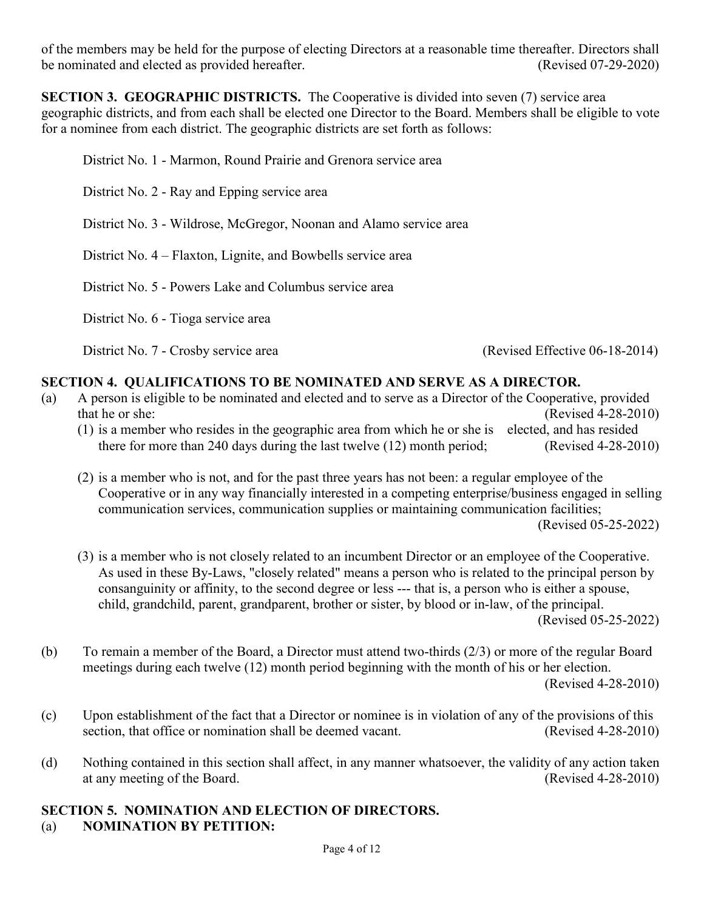of the members may be held for the purpose of electing Directors at a reasonable time thereafter. Directors shall be nominated and elected as provided hereafter. (Revised 07-29-2020)

**SECTION 3. GEOGRAPHIC DISTRICTS.** The Cooperative is divided into seven (7) service area geographic districts, and from each shall be elected one Director to the Board. Members shall be eligible to vote for a nominee from each district. The geographic districts are set forth as follows:

District No. 1 - Marmon, Round Prairie and Grenora service area

District No. 2 - Ray and Epping service area

District No. 3 - Wildrose, McGregor, Noonan and Alamo service area

District No. 4 – Flaxton, Lignite, and Bowbells service area

District No. 5 - Powers Lake and Columbus service area

District No. 6 - Tioga service area

District No. 7 - Crosby service area (Revised Effective 06-18-2014)

#### **SECTION 4. QUALIFICATIONS TO BE NOMINATED AND SERVE AS A DIRECTOR.**

- (a) A person is eligible to be nominated and elected and to serve as a Director of the Cooperative, provided that he or she: (Revised 4-28-2010)
	- (1) is a member who resides in the geographic area from which he or she is elected, and has resided there for more than 240 days during the last twelve (12) month period; (Revised 4-28-2010)
	- (2) is a member who is not, and for the past three years has not been: a regular employee of the Cooperative or in any way financially interested in a competing enterprise/business engaged in selling communication services, communication supplies or maintaining communication facilities; (Revised 05-25-2022)
	- (3) is a member who is not closely related to an incumbent Director or an employee of the Cooperative. As used in these By-Laws, "closely related" means a person who is related to the principal person by consanguinity or affinity, to the second degree or less --- that is, a person who is either a spouse, child, grandchild, parent, grandparent, brother or sister, by blood or in-law, of the principal. (Revised 05-25-2022)
- (b) To remain a member of the Board, a Director must attend two-thirds (2/3) or more of the regular Board meetings during each twelve (12) month period beginning with the month of his or her election. (Revised 4-28-2010)
- (c) Upon establishment of the fact that a Director or nominee is in violation of any of the provisions of this section, that office or nomination shall be deemed vacant. (Revised 4-28-2010)
- (d) Nothing contained in this section shall affect, in any manner whatsoever, the validity of any action taken at any meeting of the Board. (Revised 4-28-2010) at any meeting of the Board.

# **SECTION 5. NOMINATION AND ELECTION OF DIRECTORS.**

(a) **NOMINATION BY PETITION:**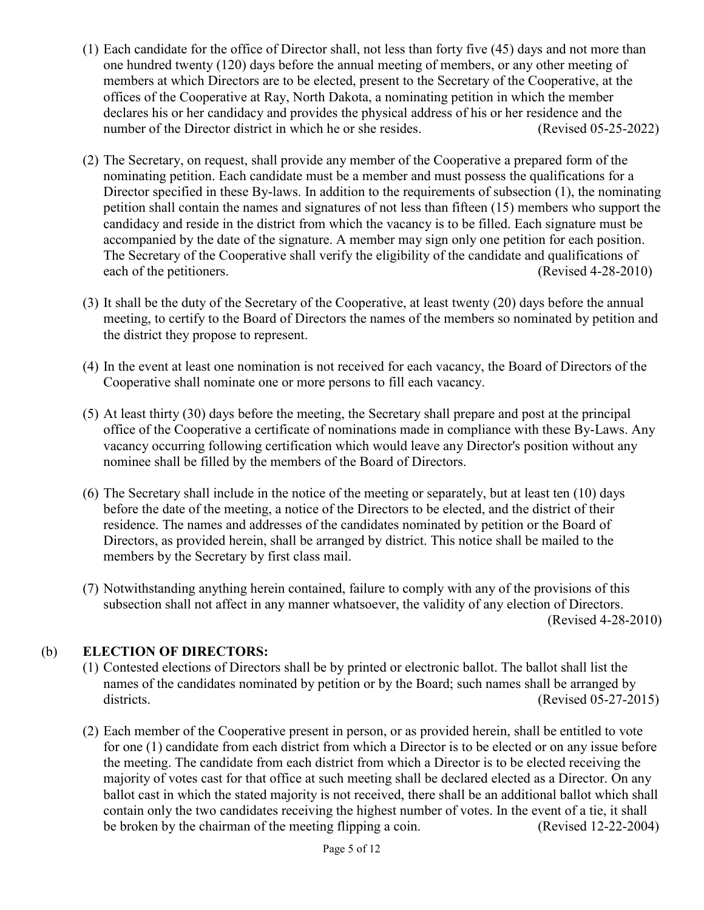- (1) Each candidate for the office of Director shall, not less than forty five (45) days and not more than one hundred twenty (120) days before the annual meeting of members, or any other meeting of members at which Directors are to be elected, present to the Secretary of the Cooperative, at the offices of the Cooperative at Ray, North Dakota, a nominating petition in which the member declares his or her candidacy and provides the physical address of his or her residence and the number of the Director district in which he or she resides. (Revised 05-25-2022)
- (2) The Secretary, on request, shall provide any member of the Cooperative a prepared form of the nominating petition. Each candidate must be a member and must possess the qualifications for a Director specified in these By-laws. In addition to the requirements of subsection (1), the nominating petition shall contain the names and signatures of not less than fifteen (15) members who support the candidacy and reside in the district from which the vacancy is to be filled. Each signature must be accompanied by the date of the signature. A member may sign only one petition for each position. The Secretary of the Cooperative shall verify the eligibility of the candidate and qualifications of each of the petitioners. (Revised 4-28-2010)
- (3) It shall be the duty of the Secretary of the Cooperative, at least twenty (20) days before the annual meeting, to certify to the Board of Directors the names of the members so nominated by petition and the district they propose to represent.
- (4) In the event at least one nomination is not received for each vacancy, the Board of Directors of the Cooperative shall nominate one or more persons to fill each vacancy.
- (5) At least thirty (30) days before the meeting, the Secretary shall prepare and post at the principal office of the Cooperative a certificate of nominations made in compliance with these By-Laws. Any vacancy occurring following certification which would leave any Director's position without any nominee shall be filled by the members of the Board of Directors.
- (6) The Secretary shall include in the notice of the meeting or separately, but at least ten (10) days before the date of the meeting, a notice of the Directors to be elected, and the district of their residence. The names and addresses of the candidates nominated by petition or the Board of Directors, as provided herein, shall be arranged by district. This notice shall be mailed to the members by the Secretary by first class mail.
- (7) Notwithstanding anything herein contained, failure to comply with any of the provisions of this subsection shall not affect in any manner whatsoever, the validity of any election of Directors. (Revised 4-28-2010)

## (b) **ELECTION OF DIRECTORS:**

- (1) Contested elections of Directors shall be by printed or electronic ballot. The ballot shall list the names of the candidates nominated by petition or by the Board; such names shall be arranged by districts. (Revised 05-27-2015)
- (2) Each member of the Cooperative present in person, or as provided herein, shall be entitled to vote for one (1) candidate from each district from which a Director is to be elected or on any issue before the meeting. The candidate from each district from which a Director is to be elected receiving the majority of votes cast for that office at such meeting shall be declared elected as a Director. On any ballot cast in which the stated majority is not received, there shall be an additional ballot which shall contain only the two candidates receiving the highest number of votes. In the event of a tie, it shall be broken by the chairman of the meeting flipping a coin. (Revised 12-22-2004)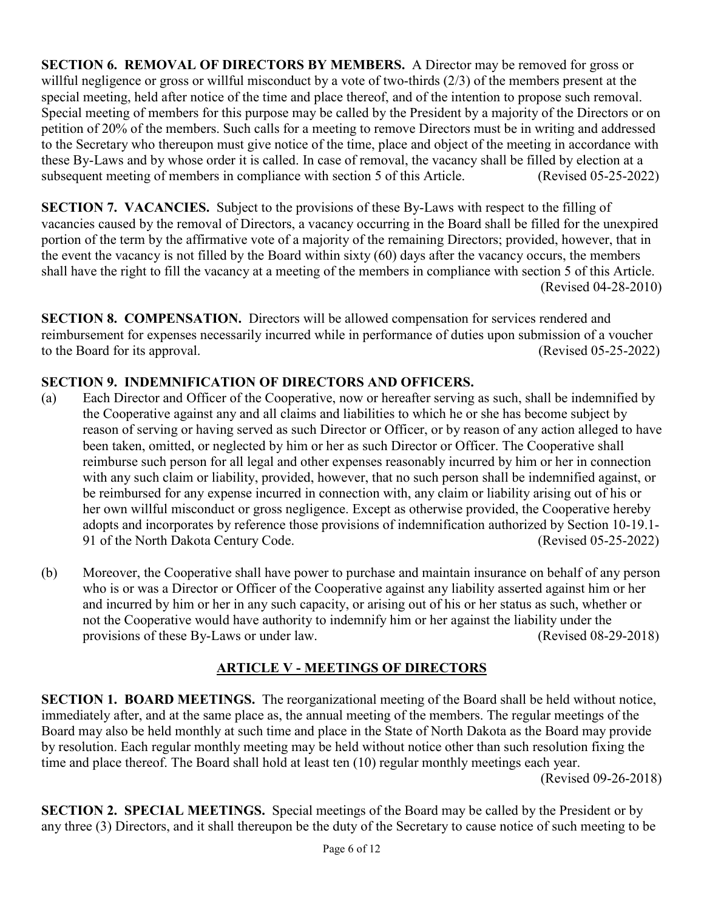**SECTION 6. REMOVAL OF DIRECTORS BY MEMBERS.** A Director may be removed for gross or willful negligence or gross or willful misconduct by a vote of two-thirds (2/3) of the members present at the special meeting, held after notice of the time and place thereof, and of the intention to propose such removal. Special meeting of members for this purpose may be called by the President by a majority of the Directors or on petition of 20% of the members. Such calls for a meeting to remove Directors must be in writing and addressed to the Secretary who thereupon must give notice of the time, place and object of the meeting in accordance with these By-Laws and by whose order it is called. In case of removal, the vacancy shall be filled by election at a subsequent meeting of members in compliance with section 5 of this Article. (Revised 05-25-2022)

**SECTION 7. VACANCIES.** Subject to the provisions of these By-Laws with respect to the filling of vacancies caused by the removal of Directors, a vacancy occurring in the Board shall be filled for the unexpired portion of the term by the affirmative vote of a majority of the remaining Directors; provided, however, that in the event the vacancy is not filled by the Board within sixty (60) days after the vacancy occurs, the members shall have the right to fill the vacancy at a meeting of the members in compliance with section 5 of this Article. (Revised 04-28-2010)

**SECTION 8. COMPENSATION.** Directors will be allowed compensation for services rendered and reimbursement for expenses necessarily incurred while in performance of duties upon submission of a voucher to the Board for its approval. (Revised 05-25-2022)

# **SECTION 9. INDEMNIFICATION OF DIRECTORS AND OFFICERS.**

- (a) Each Director and Officer of the Cooperative, now or hereafter serving as such, shall be indemnified by the Cooperative against any and all claims and liabilities to which he or she has become subject by reason of serving or having served as such Director or Officer, or by reason of any action alleged to have been taken, omitted, or neglected by him or her as such Director or Officer. The Cooperative shall reimburse such person for all legal and other expenses reasonably incurred by him or her in connection with any such claim or liability, provided, however, that no such person shall be indemnified against, or be reimbursed for any expense incurred in connection with, any claim or liability arising out of his or her own willful misconduct or gross negligence. Except as otherwise provided, the Cooperative hereby adopts and incorporates by reference those provisions of indemnification authorized by Section 10-19.1- 91 of the North Dakota Century Code. (Revised 05-25-2022)
- (b) Moreover, the Cooperative shall have power to purchase and maintain insurance on behalf of any person who is or was a Director or Officer of the Cooperative against any liability asserted against him or her and incurred by him or her in any such capacity, or arising out of his or her status as such, whether or not the Cooperative would have authority to indemnify him or her against the liability under the provisions of these By-Laws or under law. (Revised 08-29-2018)

# **ARTICLE V - MEETINGS OF DIRECTORS**

**SECTION 1. BOARD MEETINGS.** The reorganizational meeting of the Board shall be held without notice, immediately after, and at the same place as, the annual meeting of the members. The regular meetings of the Board may also be held monthly at such time and place in the State of North Dakota as the Board may provide by resolution. Each regular monthly meeting may be held without notice other than such resolution fixing the time and place thereof. The Board shall hold at least ten (10) regular monthly meetings each year.

(Revised 09-26-2018)

**SECTION 2. SPECIAL MEETINGS.** Special meetings of the Board may be called by the President or by any three (3) Directors, and it shall thereupon be the duty of the Secretary to cause notice of such meeting to be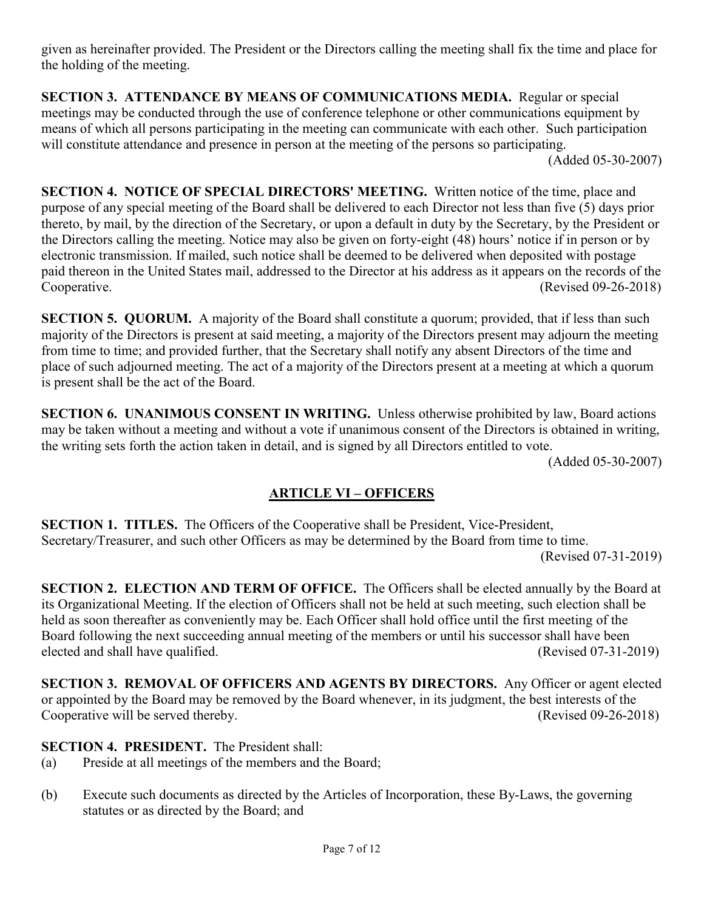given as hereinafter provided. The President or the Directors calling the meeting shall fix the time and place for the holding of the meeting.

**SECTION 3. ATTENDANCE BY MEANS OF COMMUNICATIONS MEDIA.** Regular or special meetings may be conducted through the use of conference telephone or other communications equipment by means of which all persons participating in the meeting can communicate with each other. Such participation will constitute attendance and presence in person at the meeting of the persons so participating.

(Added 05-30-2007)

**SECTION 4. NOTICE OF SPECIAL DIRECTORS' MEETING.** Written notice of the time, place and purpose of any special meeting of the Board shall be delivered to each Director not less than five (5) days prior thereto, by mail, by the direction of the Secretary, or upon a default in duty by the Secretary, by the President or the Directors calling the meeting. Notice may also be given on forty-eight (48) hours' notice if in person or by electronic transmission. If mailed, such notice shall be deemed to be delivered when deposited with postage paid thereon in the United States mail, addressed to the Director at his address as it appears on the records of the Cooperative. (Revised 09-26-2018)

**SECTION 5. QUORUM.** A majority of the Board shall constitute a quorum; provided, that if less than such majority of the Directors is present at said meeting, a majority of the Directors present may adjourn the meeting from time to time; and provided further, that the Secretary shall notify any absent Directors of the time and place of such adjourned meeting. The act of a majority of the Directors present at a meeting at which a quorum is present shall be the act of the Board.

**SECTION 6. UNANIMOUS CONSENT IN WRITING.** Unless otherwise prohibited by law, Board actions may be taken without a meeting and without a vote if unanimous consent of the Directors is obtained in writing, the writing sets forth the action taken in detail, and is signed by all Directors entitled to vote.

(Added 05-30-2007)

## **ARTICLE VI – OFFICERS**

**SECTION 1. TITLES.** The Officers of the Cooperative shall be President, Vice-President, Secretary/Treasurer, and such other Officers as may be determined by the Board from time to time. (Revised 07-31-2019)

**SECTION 2. ELECTION AND TERM OF OFFICE.** The Officers shall be elected annually by the Board at its Organizational Meeting. If the election of Officers shall not be held at such meeting, such election shall be held as soon thereafter as conveniently may be. Each Officer shall hold office until the first meeting of the Board following the next succeeding annual meeting of the members or until his successor shall have been elected and shall have qualified. (Revised 07-31-2019)

**SECTION 3. REMOVAL OF OFFICERS AND AGENTS BY DIRECTORS.** Any Officer or agent elected or appointed by the Board may be removed by the Board whenever, in its judgment, the best interests of the Cooperative will be served thereby. (Revised 09-26-2018)

**SECTION 4. PRESIDENT.** The President shall:

- (a) Preside at all meetings of the members and the Board;
- (b) Execute such documents as directed by the Articles of Incorporation, these By-Laws, the governing statutes or as directed by the Board; and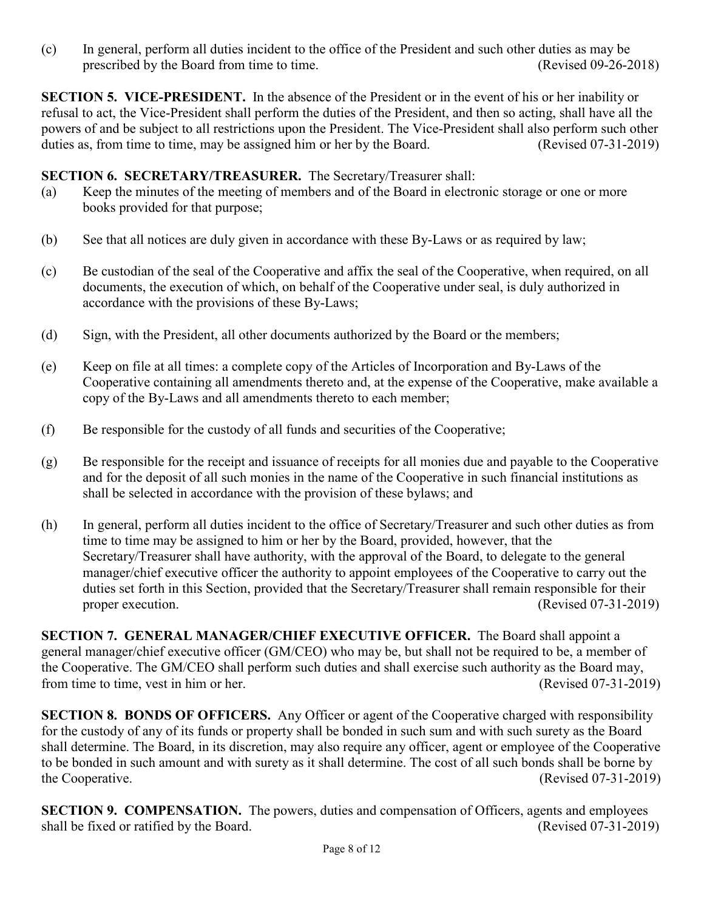(c) In general, perform all duties incident to the office of the President and such other duties as may be prescribed by the Board from time to time. (Revised 09-26-2018)

**SECTION 5. VICE-PRESIDENT.** In the absence of the President or in the event of his or her inability or refusal to act, the Vice-President shall perform the duties of the President, and then so acting, shall have all the powers of and be subject to all restrictions upon the President. The Vice-President shall also perform such other duties as, from time to time, may be assigned him or her by the Board. (Revised 07-31-2019)

#### **SECTION 6. SECRETARY/TREASURER.** The Secretary/Treasurer shall:

- (a) Keep the minutes of the meeting of members and of the Board in electronic storage or one or more books provided for that purpose;
- (b) See that all notices are duly given in accordance with these By-Laws or as required by law;
- (c) Be custodian of the seal of the Cooperative and affix the seal of the Cooperative, when required, on all documents, the execution of which, on behalf of the Cooperative under seal, is duly authorized in accordance with the provisions of these By-Laws;
- (d) Sign, with the President, all other documents authorized by the Board or the members;
- (e) Keep on file at all times: a complete copy of the Articles of Incorporation and By-Laws of the Cooperative containing all amendments thereto and, at the expense of the Cooperative, make available a copy of the By-Laws and all amendments thereto to each member;
- (f) Be responsible for the custody of all funds and securities of the Cooperative;
- (g) Be responsible for the receipt and issuance of receipts for all monies due and payable to the Cooperative and for the deposit of all such monies in the name of the Cooperative in such financial institutions as shall be selected in accordance with the provision of these bylaws; and
- (h) In general, perform all duties incident to the office of Secretary/Treasurer and such other duties as from time to time may be assigned to him or her by the Board, provided, however, that the Secretary/Treasurer shall have authority, with the approval of the Board, to delegate to the general manager/chief executive officer the authority to appoint employees of the Cooperative to carry out the duties set forth in this Section, provided that the Secretary/Treasurer shall remain responsible for their proper execution. (Revised 07-31-2019)

**SECTION 7. GENERAL MANAGER/CHIEF EXECUTIVE OFFICER.** The Board shall appoint a general manager/chief executive officer (GM/CEO) who may be, but shall not be required to be, a member of the Cooperative. The GM/CEO shall perform such duties and shall exercise such authority as the Board may, from time to time, vest in him or her. (Revised 07-31-2019)

**SECTION 8. BONDS OF OFFICERS.** Any Officer or agent of the Cooperative charged with responsibility for the custody of any of its funds or property shall be bonded in such sum and with such surety as the Board shall determine. The Board, in its discretion, may also require any officer, agent or employee of the Cooperative to be bonded in such amount and with surety as it shall determine. The cost of all such bonds shall be borne by the Cooperative. (Revised 07-31-2019)

**SECTION 9. COMPENSATION.** The powers, duties and compensation of Officers, agents and employees shall be fixed or ratified by the Board. (Revised 07-31-2019)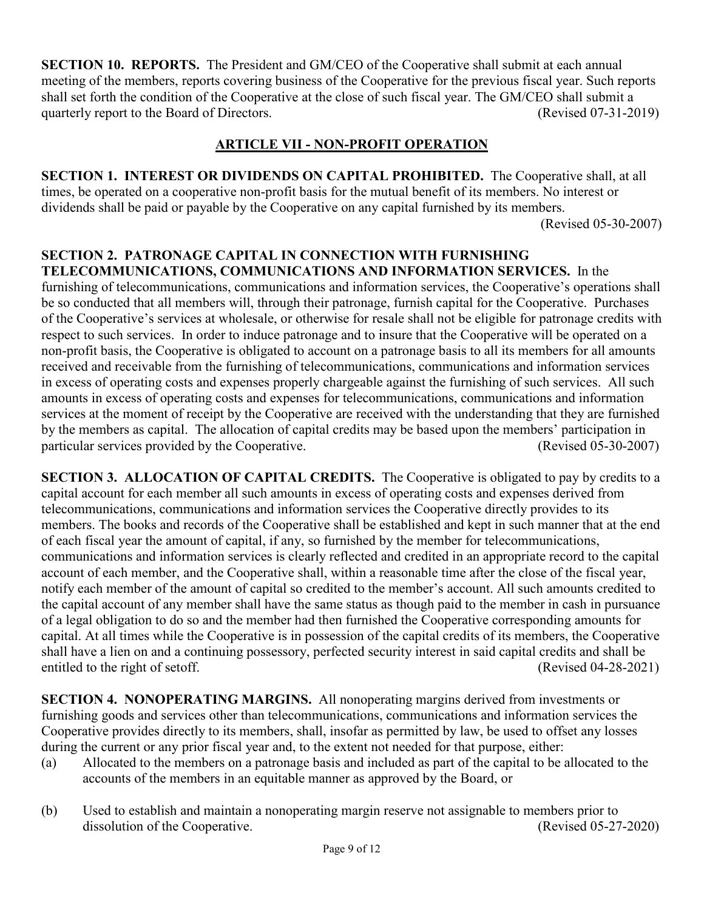**SECTION 10. REPORTS.** The President and GM/CEO of the Cooperative shall submit at each annual meeting of the members, reports covering business of the Cooperative for the previous fiscal year. Such reports shall set forth the condition of the Cooperative at the close of such fiscal year. The GM/CEO shall submit a quarterly report to the Board of Directors. (Revised 07-31-2019)

## **ARTICLE VII - NON-PROFIT OPERATION**

**SECTION 1. INTEREST OR DIVIDENDS ON CAPITAL PROHIBITED.** The Cooperative shall, at all times, be operated on a cooperative non-profit basis for the mutual benefit of its members. No interest or dividends shall be paid or payable by the Cooperative on any capital furnished by its members. (Revised 05-30-2007)

**SECTION 2. PATRONAGE CAPITAL IN CONNECTION WITH FURNISHING TELECOMMUNICATIONS, COMMUNICATIONS AND INFORMATION SERVICES.** In the furnishing of telecommunications, communications and information services, the Cooperative's operations shall be so conducted that all members will, through their patronage, furnish capital for the Cooperative. Purchases of the Cooperative's services at wholesale, or otherwise for resale shall not be eligible for patronage credits with respect to such services. In order to induce patronage and to insure that the Cooperative will be operated on a non-profit basis, the Cooperative is obligated to account on a patronage basis to all its members for all amounts received and receivable from the furnishing of telecommunications, communications and information services in excess of operating costs and expenses properly chargeable against the furnishing of such services. All such amounts in excess of operating costs and expenses for telecommunications, communications and information services at the moment of receipt by the Cooperative are received with the understanding that they are furnished by the members as capital. The allocation of capital credits may be based upon the members' participation in particular services provided by the Cooperative. (Revised 05-30-2007)

**SECTION 3. ALLOCATION OF CAPITAL CREDITS.** The Cooperative is obligated to pay by credits to a capital account for each member all such amounts in excess of operating costs and expenses derived from telecommunications, communications and information services the Cooperative directly provides to its members. The books and records of the Cooperative shall be established and kept in such manner that at the end of each fiscal year the amount of capital, if any, so furnished by the member for telecommunications, communications and information services is clearly reflected and credited in an appropriate record to the capital account of each member, and the Cooperative shall, within a reasonable time after the close of the fiscal year, notify each member of the amount of capital so credited to the member's account. All such amounts credited to the capital account of any member shall have the same status as though paid to the member in cash in pursuance of a legal obligation to do so and the member had then furnished the Cooperative corresponding amounts for capital. At all times while the Cooperative is in possession of the capital credits of its members, the Cooperative shall have a lien on and a continuing possessory, perfected security interest in said capital credits and shall be entitled to the right of setoff. (Revised 04-28-2021)

**SECTION 4. NONOPERATING MARGINS.** All nonoperating margins derived from investments or furnishing goods and services other than telecommunications, communications and information services the Cooperative provides directly to its members, shall, insofar as permitted by law, be used to offset any losses during the current or any prior fiscal year and, to the extent not needed for that purpose, either:

- (a) Allocated to the members on a patronage basis and included as part of the capital to be allocated to the accounts of the members in an equitable manner as approved by the Board, or
- (b) Used to establish and maintain a nonoperating margin reserve not assignable to members prior to dissolution of the Cooperative. (Revised 05-27-2020)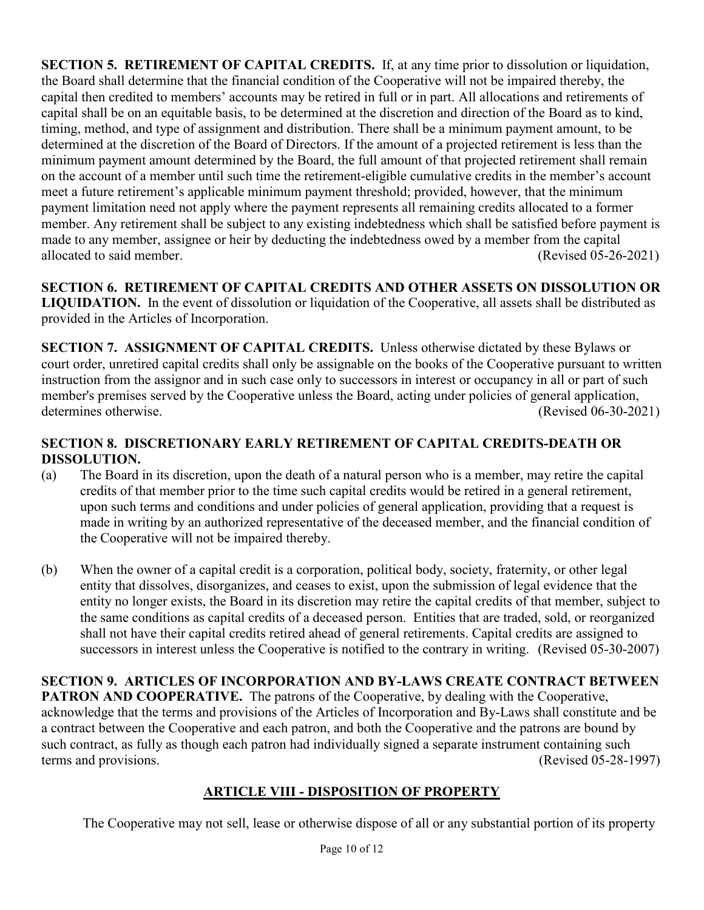**SECTION 5. RETIREMENT OF CAPITAL CREDITS.** If, at any time prior to dissolution or liquidation, the Board shall determine that the financial condition of the Cooperative will not be impaired thereby, the capital then credited to members' accounts may be retired in full or in part. All allocations and retirements of capital shall be on an equitable basis, to be determined at the discretion and direction of the Board as to kind, timing, method, and type of assignment and distribution. There shall be a minimum payment amount, to be determined at the discretion of the Board of Directors. If the amount of a projected retirement is less than the minimum payment amount determined by the Board, the full amount of that projected retirement shall remain on the account of a member until such time the retirement-eligible cumulative credits in the member's account meet a future retirement's applicable minimum payment threshold; provided, however, that the minimum payment limitation need not apply where the payment represents all remaining credits allocated to a former member. Any retirement shall be subject to any existing indebtedness which shall be satisfied before payment is made to any member, assignee or heir by deducting the indebtedness owed by a member from the capital allocated to said member. (Revised 05-26-2021)

**SECTION 6. RETIREMENT OF CAPITAL CREDITS AND OTHER ASSETS ON DISSOLUTION OR LIQUIDATION.** In the event of dissolution or liquidation of the Cooperative, all assets shall be distributed as provided in the Articles of Incorporation.

**SECTION 7. ASSIGNMENT OF CAPITAL CREDITS.** Unless otherwise dictated by these Bylaws or court order, unretired capital credits shall only be assignable on the books of the Cooperative pursuant to written instruction from the assignor and in such case only to successors in interest or occupancy in all or part of such member's premises served by the Cooperative unless the Board, acting under policies of general application, determines otherwise. (Revised 06-30-2021)

# **SECTION 8. DISCRETIONARY EARLY RETIREMENT OF CAPITAL CREDITS-DEATH OR DISSOLUTION.**

- (a) The Board in its discretion, upon the death of a natural person who is a member, may retire the capital credits of that member prior to the time such capital credits would be retired in a general retirement, upon such terms and conditions and under policies of general application, providing that a request is made in writing by an authorized representative of the deceased member, and the financial condition of the Cooperative will not be impaired thereby.
- (b) When the owner of a capital credit is a corporation, political body, society, fraternity, or other legal entity that dissolves, disorganizes, and ceases to exist, upon the submission of legal evidence that the entity no longer exists, the Board in its discretion may retire the capital credits of that member, subject to the same conditions as capital credits of a deceased person. Entities that are traded, sold, or reorganized shall not have their capital credits retired ahead of general retirements. Capital credits are assigned to successors in interest unless the Cooperative is notified to the contrary in writing. (Revised 05-30-2007)

**SECTION 9. ARTICLES OF INCORPORATION AND BY-LAWS CREATE CONTRACT BETWEEN PATRON AND COOPERATIVE.** The patrons of the Cooperative, by dealing with the Cooperative, acknowledge that the terms and provisions of the Articles of Incorporation and By-Laws shall constitute and be a contract between the Cooperative and each patron, and both the Cooperative and the patrons are bound by such contract, as fully as though each patron had individually signed a separate instrument containing such terms and provisions. (Revised 05-28-1997)

# **ARTICLE VIII - DISPOSITION OF PROPERTY**

The Cooperative may not sell, lease or otherwise dispose of all or any substantial portion of its property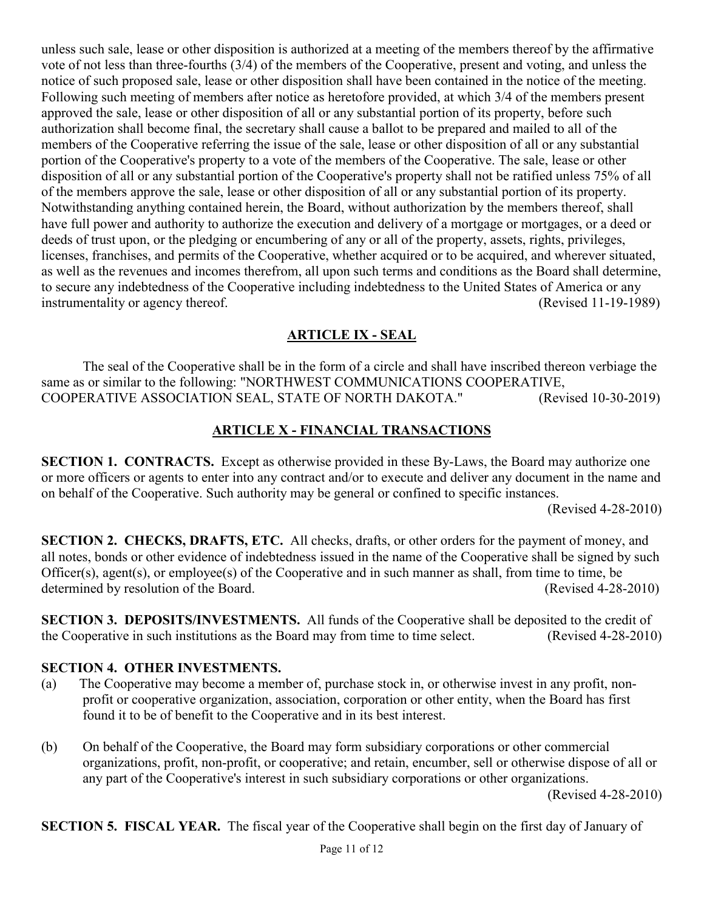unless such sale, lease or other disposition is authorized at a meeting of the members thereof by the affirmative vote of not less than three-fourths (3/4) of the members of the Cooperative, present and voting, and unless the notice of such proposed sale, lease or other disposition shall have been contained in the notice of the meeting. Following such meeting of members after notice as heretofore provided, at which 3/4 of the members present approved the sale, lease or other disposition of all or any substantial portion of its property, before such authorization shall become final, the secretary shall cause a ballot to be prepared and mailed to all of the members of the Cooperative referring the issue of the sale, lease or other disposition of all or any substantial portion of the Cooperative's property to a vote of the members of the Cooperative. The sale, lease or other disposition of all or any substantial portion of the Cooperative's property shall not be ratified unless 75% of all of the members approve the sale, lease or other disposition of all or any substantial portion of its property. Notwithstanding anything contained herein, the Board, without authorization by the members thereof, shall have full power and authority to authorize the execution and delivery of a mortgage or mortgages, or a deed or deeds of trust upon, or the pledging or encumbering of any or all of the property, assets, rights, privileges, licenses, franchises, and permits of the Cooperative, whether acquired or to be acquired, and wherever situated, as well as the revenues and incomes therefrom, all upon such terms and conditions as the Board shall determine, to secure any indebtedness of the Cooperative including indebtedness to the United States of America or any instrumentality or agency thereof. (Revised 11-19-1989)

# **ARTICLE IX - SEAL**

The seal of the Cooperative shall be in the form of a circle and shall have inscribed thereon verbiage the same as or similar to the following: "NORTHWEST COMMUNICATIONS COOPERATIVE, COOPERATIVE ASSOCIATION SEAL, STATE OF NORTH DAKOTA." (Revised 10-30-2019)

# **ARTICLE X - FINANCIAL TRANSACTIONS**

**SECTION 1. CONTRACTS.** Except as otherwise provided in these By-Laws, the Board may authorize one or more officers or agents to enter into any contract and/or to execute and deliver any document in the name and on behalf of the Cooperative. Such authority may be general or confined to specific instances.

(Revised 4-28-2010)

**SECTION 2. CHECKS, DRAFTS, ETC.** All checks, drafts, or other orders for the payment of money, and all notes, bonds or other evidence of indebtedness issued in the name of the Cooperative shall be signed by such Officer(s), agent(s), or employee(s) of the Cooperative and in such manner as shall, from time to time, be determined by resolution of the Board. (Revised 4-28-2010)

**SECTION 3. DEPOSITS/INVESTMENTS.** All funds of the Cooperative shall be deposited to the credit of the Cooperative in such institutions as the Board may from time to time select. (Revised 4-28-2010)

## **SECTION 4. OTHER INVESTMENTS.**

- (a) The Cooperative may become a member of, purchase stock in, or otherwise invest in any profit, nonprofit or cooperative organization, association, corporation or other entity, when the Board has first found it to be of benefit to the Cooperative and in its best interest.
- (b) On behalf of the Cooperative, the Board may form subsidiary corporations or other commercial organizations, profit, non-profit, or cooperative; and retain, encumber, sell or otherwise dispose of all or any part of the Cooperative's interest in such subsidiary corporations or other organizations. (Revised 4-28-2010)

**SECTION 5. FISCAL YEAR.** The fiscal year of the Cooperative shall begin on the first day of January of